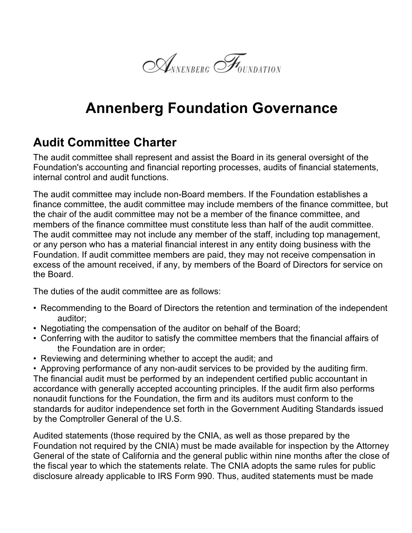

## **Annenberg Foundation Governance**

## **Audit Committee Charter**

The audit committee shall represent and assist the Board in its general oversight of the Foundation's accounting and financial reporting processes, audits of financial statements, internal control and audit functions.

The audit committee may include non-Board members. If the Foundation establishes a finance committee, the audit committee may include members of the finance committee, but the chair of the audit committee may not be a member of the finance committee, and members of the finance committee must constitute less than half of the audit committee. The audit committee may not include any member of the staff, including top management, or any person who has a material financial interest in any entity doing business with the Foundation. If audit committee members are paid, they may not receive compensation in excess of the amount received, if any, by members of the Board of Directors for service on the Board.

The duties of the audit committee are as follows:

- Recommending to the Board of Directors the retention and termination of the independent auditor;
- Negotiating the compensation of the auditor on behalf of the Board;
- Conferring with the auditor to satisfy the committee members that the financial affairs of the Foundation are in order;
- Reviewing and determining whether to accept the audit; and

• Approving performance of any non-audit services to be provided by the auditing firm. The financial audit must be performed by an independent certified public accountant in accordance with generally accepted accounting principles. If the audit firm also performs nonaudit functions for the Foundation, the firm and its auditors must conform to the standards for auditor independence set forth in the Government Auditing Standards issued by the Comptroller General of the U.S.

Audited statements (those required by the CNIA, as well as those prepared by the Foundation not required by the CNIA) must be made available for inspection by the Attorney General of the state of California and the general public within nine months after the close of the fiscal year to which the statements relate. The CNIA adopts the same rules for public disclosure already applicable to IRS Form 990. Thus, audited statements must be made